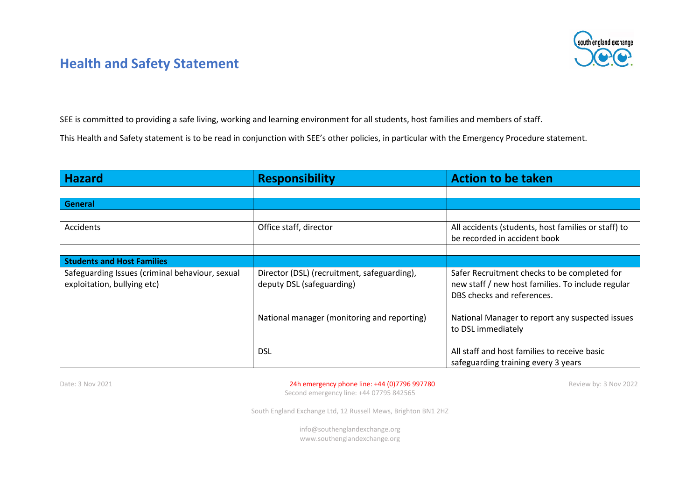# south england exchange

#### **Health and Safety Statement**

SEE is committed to providing a safe living, working and learning environment for all students, host families and members of staff.

This Health and Safety statement is to be read in conjunction with SEE's other policies, in particular with the Emergency Procedure statement.

| <b>Hazard</b>                                                                  | <b>Responsibility</b>                                                    | <b>Action to be taken</b>                                                                                                       |
|--------------------------------------------------------------------------------|--------------------------------------------------------------------------|---------------------------------------------------------------------------------------------------------------------------------|
|                                                                                |                                                                          |                                                                                                                                 |
| General                                                                        |                                                                          |                                                                                                                                 |
|                                                                                |                                                                          |                                                                                                                                 |
| <b>Accidents</b>                                                               | Office staff, director                                                   | All accidents (students, host families or staff) to<br>be recorded in accident book                                             |
|                                                                                |                                                                          |                                                                                                                                 |
| <b>Students and Host Families</b>                                              |                                                                          |                                                                                                                                 |
| Safeguarding Issues (criminal behaviour, sexual<br>exploitation, bullying etc) | Director (DSL) (recruitment, safeguarding),<br>deputy DSL (safeguarding) | Safer Recruitment checks to be completed for<br>new staff / new host families. To include regular<br>DBS checks and references. |
|                                                                                | National manager (monitoring and reporting)                              | National Manager to report any suspected issues<br>to DSL immediately                                                           |
|                                                                                | <b>DSL</b>                                                               | All staff and host families to receive basic<br>safeguarding training every 3 years                                             |

#### Date: 3 Nov 2021 2001 2002 24h emergency phone line: +44 (0) 7796 997780 Review by: 3 Nov 2022

Second emergency line: +44 07795 842565

South England Exchange Ltd, 12 Russell Mews, Brighton BN1 2HZ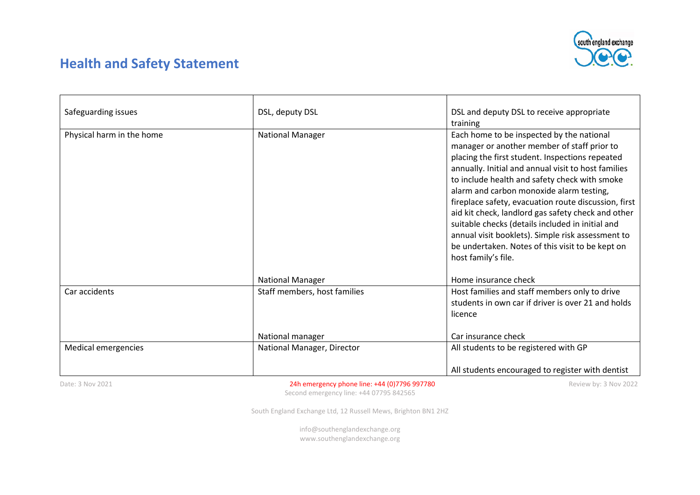

## **Health and Safety Statement**

| Safeguarding issues       | DSL, deputy DSL              | DSL and deputy DSL to receive appropriate            |
|---------------------------|------------------------------|------------------------------------------------------|
|                           |                              | training                                             |
| Physical harm in the home | <b>National Manager</b>      | Each home to be inspected by the national            |
|                           |                              | manager or another member of staff prior to          |
|                           |                              | placing the first student. Inspections repeated      |
|                           |                              | annually. Initial and annual visit to host families  |
|                           |                              | to include health and safety check with smoke        |
|                           |                              | alarm and carbon monoxide alarm testing,             |
|                           |                              | fireplace safety, evacuation route discussion, first |
|                           |                              | aid kit check, landlord gas safety check and other   |
|                           |                              | suitable checks (details included in initial and     |
|                           |                              | annual visit booklets). Simple risk assessment to    |
|                           |                              | be undertaken. Notes of this visit to be kept on     |
|                           |                              | host family's file.                                  |
|                           |                              |                                                      |
|                           | <b>National Manager</b>      | Home insurance check                                 |
| Car accidents             | Staff members, host families | Host families and staff members only to drive        |
|                           |                              | students in own car if driver is over 21 and holds   |
|                           |                              | licence                                              |
|                           |                              |                                                      |
|                           | National manager             | Car insurance check                                  |
| Medical emergencies       | National Manager, Director   | All students to be registered with GP                |
|                           |                              |                                                      |
|                           |                              | All students encouraged to register with dentist     |

Date: 3 Nov 2021 2001 2002 24h emergency phone line: +44 (0) 7796 997780

Second emergency line: +44 07795 842565

South England Exchange Ltd, 12 Russell Mews, Brighton BN1 2HZ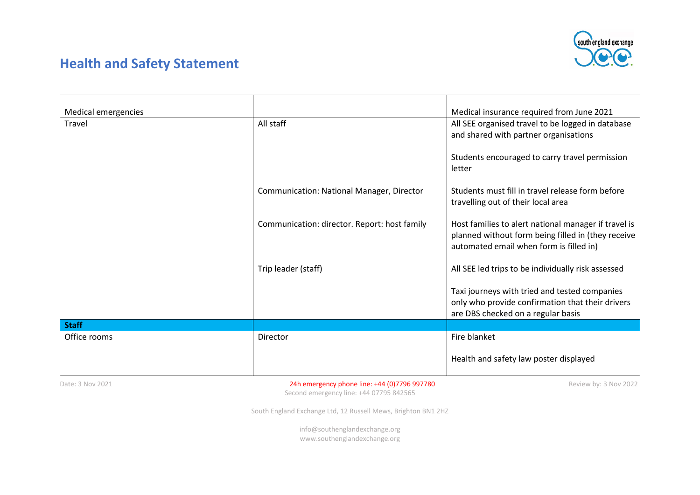

## **Health and Safety Statement**

| Medical emergencies |                                                  | Medical insurance required from June 2021            |
|---------------------|--------------------------------------------------|------------------------------------------------------|
| Travel              | All staff                                        | All SEE organised travel to be logged in database    |
|                     |                                                  | and shared with partner organisations                |
|                     |                                                  |                                                      |
|                     |                                                  |                                                      |
|                     |                                                  | Students encouraged to carry travel permission       |
|                     |                                                  | letter                                               |
|                     |                                                  |                                                      |
|                     | <b>Communication: National Manager, Director</b> | Students must fill in travel release form before     |
|                     |                                                  |                                                      |
|                     |                                                  | travelling out of their local area                   |
|                     |                                                  |                                                      |
|                     | Communication: director. Report: host family     | Host families to alert national manager if travel is |
|                     |                                                  | planned without form being filled in (they receive   |
|                     |                                                  | automated email when form is filled in)              |
|                     |                                                  |                                                      |
|                     |                                                  |                                                      |
|                     | Trip leader (staff)                              | All SEE led trips to be individually risk assessed   |
|                     |                                                  |                                                      |
|                     |                                                  | Taxi journeys with tried and tested companies        |
|                     |                                                  | only who provide confirmation that their drivers     |
|                     |                                                  |                                                      |
|                     |                                                  | are DBS checked on a regular basis                   |
| <b>Staff</b>        |                                                  |                                                      |
| Office rooms        | Director                                         | Fire blanket                                         |
|                     |                                                  |                                                      |
|                     |                                                  | Health and safety law poster displayed               |
|                     |                                                  |                                                      |
|                     |                                                  |                                                      |

Date: 3 Nov 2021 2001 2002 24h emergency phone line: +44 (0) 7796 997780

Second emergency line: +44 07795 842565

South England Exchange Ltd, 12 Russell Mews, Brighton BN1 2HZ